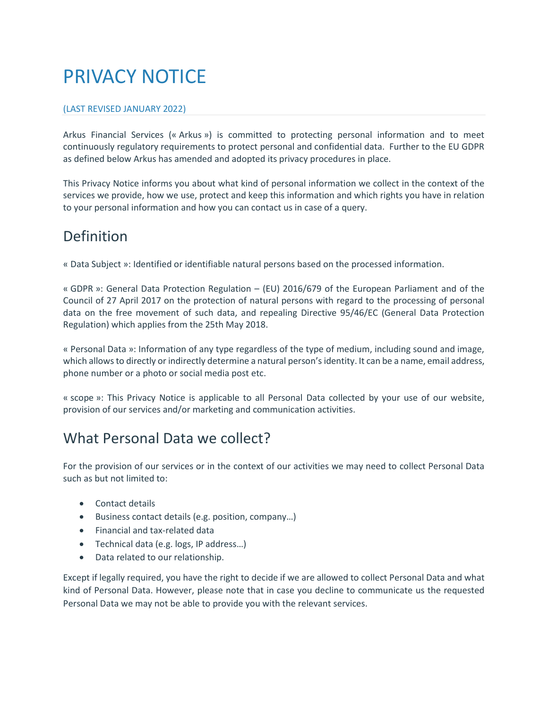# PRIVACY NOTICE

#### (LAST REVISED JANUARY 2022)

Arkus Financial Services (« Arkus ») is committed to protecting personal information and to meet continuously regulatory requirements to protect personal and confidential data. Further to the EU GDPR as defined below Arkus has amended and adopted its privacy procedures in place.

This Privacy Notice informs you about what kind of personal information we collect in the context of the services we provide, how we use, protect and keep this information and which rights you have in relation to your personal information and how you can contact us in case of a query.

### Definition

« Data Subject »: Identified or identifiable natural persons based on the processed information.

« GDPR »: General Data Protection Regulation – (EU) 2016/679 of the European Parliament and of the Council of 27 April 2017 on the protection of natural persons with regard to the processing of personal data on the free movement of such data, and repealing Directive 95/46/EC (General Data Protection Regulation) which applies from the 25th May 2018.

« Personal Data »: Information of any type regardless of the type of medium, including sound and image, which allows to directly or indirectly determine a natural person'sidentity. It can be a name, email address, phone number or a photo or social media post etc.

« scope »: This Privacy Notice is applicable to all Personal Data collected by your use of our website, provision of our services and/or marketing and communication activities.

#### What Personal Data we collect?

For the provision of our services or in the context of our activities we may need to collect Personal Data such as but not limited to:

- Contact details
- Business contact details (e.g. position, company…)
- Financial and tax-related data
- Technical data (e.g. logs, IP address…)
- Data related to our relationship.

Except if legally required, you have the right to decide if we are allowed to collect Personal Data and what kind of Personal Data. However, please note that in case you decline to communicate us the requested Personal Data we may not be able to provide you with the relevant services.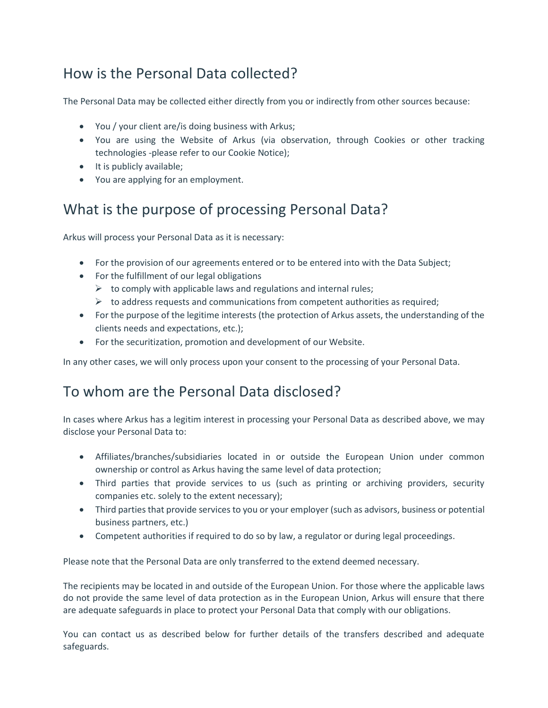# How is the Personal Data collected?

The Personal Data may be collected either directly from you or indirectly from other sources because:

- You / your client are/is doing business with Arkus;
- You are using the Website of Arkus (via observation, through Cookies or other tracking technologies -please refer to our Cookie Notice);
- It is publicly available;
- You are applying for an employment.

# What is the purpose of processing Personal Data?

Arkus will process your Personal Data as it is necessary:

- For the provision of our agreements entered or to be entered into with the Data Subject;
- For the fulfillment of our legal obligations
	- $\triangleright$  to comply with applicable laws and regulations and internal rules;
	- $\triangleright$  to address requests and communications from competent authorities as required;
- For the purpose of the legitime interests (the protection of Arkus assets, the understanding of the clients needs and expectations, etc.);
- For the securitization, promotion and development of our Website.

In any other cases, we will only process upon your consent to the processing of your Personal Data.

#### To whom are the Personal Data disclosed?

In cases where Arkus has a legitim interest in processing your Personal Data as described above, we may disclose your Personal Data to:

- Affiliates/branches/subsidiaries located in or outside the European Union under common ownership or control as Arkus having the same level of data protection;
- Third parties that provide services to us (such as printing or archiving providers, security companies etc. solely to the extent necessary);
- Third parties that provide services to you or your employer (such as advisors, business or potential business partners, etc.)
- Competent authorities if required to do so by law, a regulator or during legal proceedings.

Please note that the Personal Data are only transferred to the extend deemed necessary.

The recipients may be located in and outside of the European Union. For those where the applicable laws do not provide the same level of data protection as in the European Union, Arkus will ensure that there are adequate safeguards in place to protect your Personal Data that comply with our obligations.

You can contact us as described below for further details of the transfers described and adequate safeguards.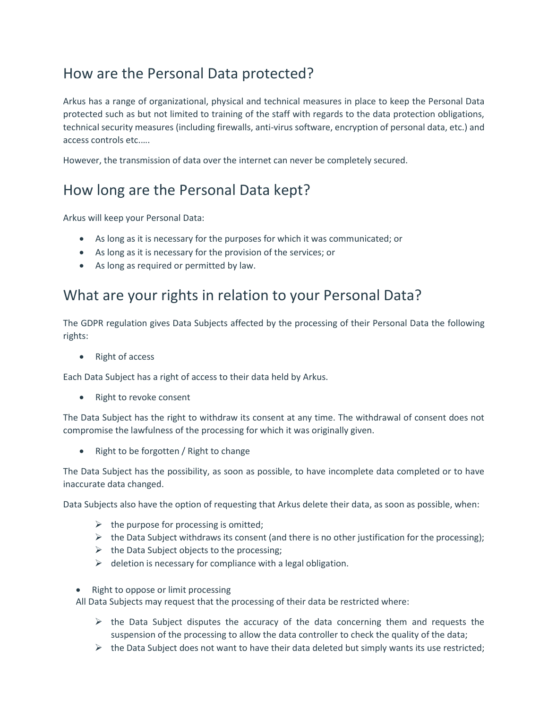# How are the Personal Data protected?

Arkus has a range of organizational, physical and technical measures in place to keep the Personal Data protected such as but not limited to training of the staff with regards to the data protection obligations, technical security measures (including firewalls, anti-virus software, encryption of personal data, etc.) and access controls etc.….

However, the transmission of data over the internet can never be completely secured.

# How long are the Personal Data kept?

Arkus will keep your Personal Data:

- As long as it is necessary for the purposes for which it was communicated; or
- As long as it is necessary for the provision of the services; or
- As long as required or permitted by law.

### What are your rights in relation to your Personal Data?

The GDPR regulation gives Data Subjects affected by the processing of their Personal Data the following rights:

• Right of access

Each Data Subject has a right of access to their data held by Arkus.

• Right to revoke consent

The Data Subject has the right to withdraw its consent at any time. The withdrawal of consent does not compromise the lawfulness of the processing for which it was originally given.

• Right to be forgotten / Right to change

The Data Subject has the possibility, as soon as possible, to have incomplete data completed or to have inaccurate data changed.

Data Subjects also have the option of requesting that Arkus delete their data, as soon as possible, when:

- $\triangleright$  the purpose for processing is omitted;
- $\triangleright$  the Data Subject withdraws its consent (and there is no other justification for the processing);
- $\triangleright$  the Data Subject objects to the processing;
- $\triangleright$  deletion is necessary for compliance with a legal obligation.
- Right to oppose or limit processing

All Data Subjects may request that the processing of their data be restricted where:

- $\triangleright$  the Data Subject disputes the accuracy of the data concerning them and requests the suspension of the processing to allow the data controller to check the quality of the data;
- $\triangleright$  the Data Subject does not want to have their data deleted but simply wants its use restricted;